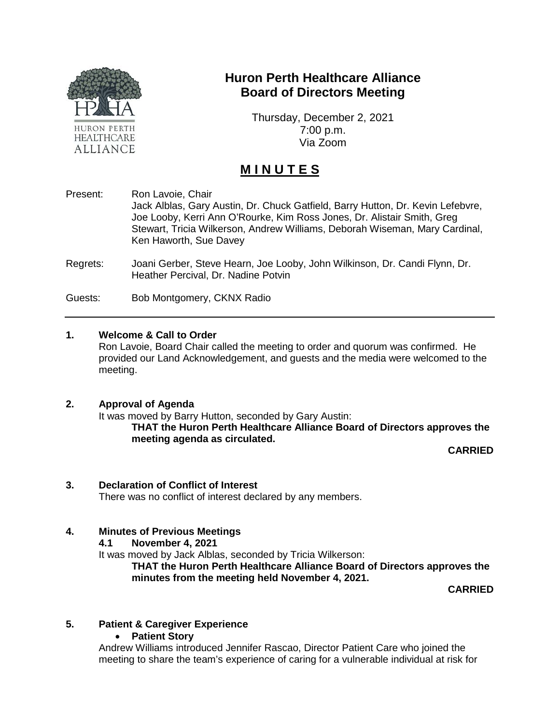

# **Huron Perth Healthcare Alliance Board of Directors Meeting**

Thursday, December 2, 2021 7:00 p.m. Via Zoom

# **M I N U T E S**

- Present: Ron Lavoie, Chair Jack Alblas, Gary Austin, Dr. Chuck Gatfield, Barry Hutton, Dr. Kevin Lefebvre, Joe Looby, Kerri Ann O'Rourke, Kim Ross Jones, Dr. Alistair Smith, Greg Stewart, Tricia Wilkerson, Andrew Williams, Deborah Wiseman, Mary Cardinal, Ken Haworth, Sue Davey
- Regrets: Joani Gerber, Steve Hearn, Joe Looby, John Wilkinson, Dr. Candi Flynn, Dr. Heather Percival, Dr. Nadine Potvin

Guests: Bob Montgomery, CKNX Radio

#### **1. Welcome & Call to Order**

Ron Lavoie, Board Chair called the meeting to order and quorum was confirmed. He provided our Land Acknowledgement, and guests and the media were welcomed to the meeting.

#### **2. Approval of Agenda**

It was moved by Barry Hutton, seconded by Gary Austin: **THAT the Huron Perth Healthcare Alliance Board of Directors approves the meeting agenda as circulated.**

**CARRIED**

#### **3. Declaration of Conflict of Interest**

There was no conflict of interest declared by any members.

# **4. Minutes of Previous Meetings**

**4.1 November 4, 2021**

It was moved by Jack Alblas, seconded by Tricia Wilkerson:

**THAT the Huron Perth Healthcare Alliance Board of Directors approves the minutes from the meeting held November 4, 2021.**

**CARRIED**

# **5. Patient & Caregiver Experience**

• **Patient Story**

Andrew Williams introduced Jennifer Rascao, Director Patient Care who joined the meeting to share the team's experience of caring for a vulnerable individual at risk for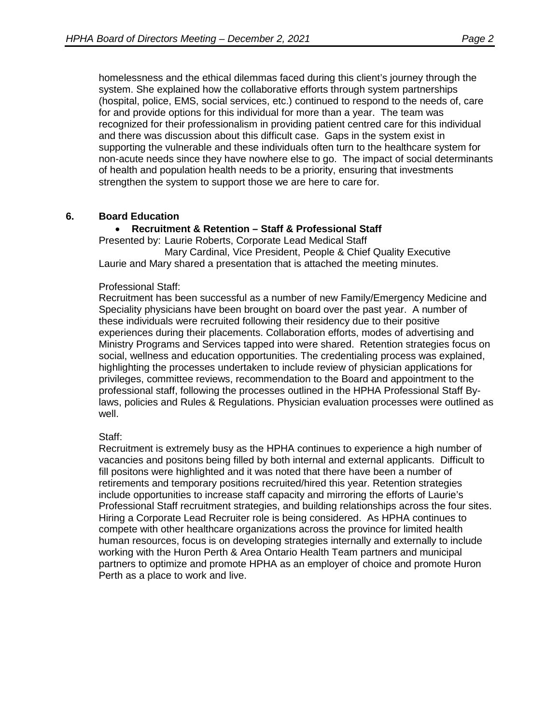homelessness and the ethical dilemmas faced during this client's journey through the system. She explained how the collaborative efforts through system partnerships (hospital, police, EMS, social services, etc.) continued to respond to the needs of, care for and provide options for this individual for more than a year. The team was recognized for their professionalism in providing patient centred care for this individual and there was discussion about this difficult case. Gaps in the system exist in supporting the vulnerable and these individuals often turn to the healthcare system for non-acute needs since they have nowhere else to go. The impact of social determinants of health and population health needs to be a priority, ensuring that investments strengthen the system to support those we are here to care for.

## **6. Board Education**

## • **Recruitment & Retention – Staff & Professional Staff**

Presented by: Laurie Roberts, Corporate Lead Medical Staff

Mary Cardinal, Vice President, People & Chief Quality Executive Laurie and Mary shared a presentation that is attached the meeting minutes.

#### Professional Staff:

Recruitment has been successful as a number of new Family/Emergency Medicine and Speciality physicians have been brought on board over the past year. A number of these individuals were recruited following their residency due to their positive experiences during their placements. Collaboration efforts, modes of advertising and Ministry Programs and Services tapped into were shared. Retention strategies focus on social, wellness and education opportunities. The credentialing process was explained, highlighting the processes undertaken to include review of physician applications for privileges, committee reviews, recommendation to the Board and appointment to the professional staff, following the processes outlined in the HPHA Professional Staff Bylaws, policies and Rules & Regulations. Physician evaluation processes were outlined as well.

#### Staff:

Recruitment is extremely busy as the HPHA continues to experience a high number of vacancies and positons being filled by both internal and external applicants. Difficult to fill positons were highlighted and it was noted that there have been a number of retirements and temporary positions recruited/hired this year. Retention strategies include opportunities to increase staff capacity and mirroring the efforts of Laurie's Professional Staff recruitment strategies, and building relationships across the four sites. Hiring a Corporate Lead Recruiter role is being considered. As HPHA continues to compete with other healthcare organizations across the province for limited health human resources, focus is on developing strategies internally and externally to include working with the Huron Perth & Area Ontario Health Team partners and municipal partners to optimize and promote HPHA as an employer of choice and promote Huron Perth as a place to work and live.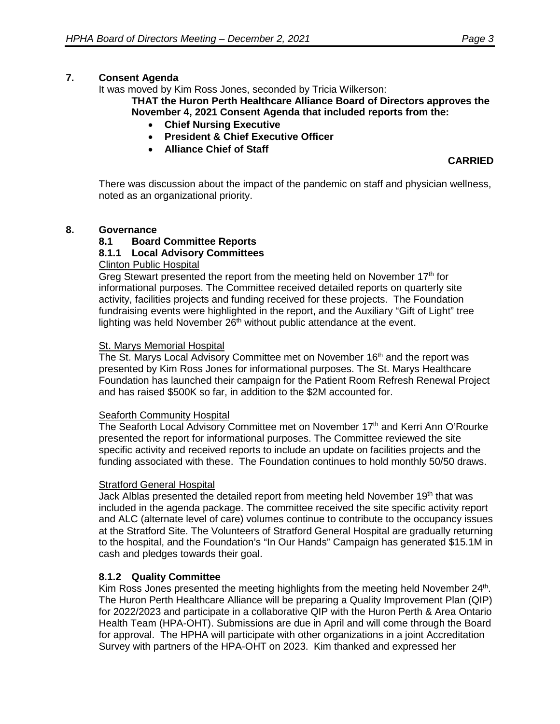# **7. Consent Agenda**

It was moved by Kim Ross Jones, seconded by Tricia Wilkerson:

**THAT the Huron Perth Healthcare Alliance Board of Directors approves the November 4, 2021 Consent Agenda that included reports from the:**

- **Chief Nursing Executive**
- **President & Chief Executive Officer**
- **Alliance Chief of Staff**

**CARRIED**

There was discussion about the impact of the pandemic on staff and physician wellness, noted as an organizational priority.

## **8. Governance**

# **8.1 Board Committee Reports**

## **8.1.1 Local Advisory Committees**

## Clinton Public Hospital

Greg Stewart presented the report from the meeting held on November  $17<sup>th</sup>$  for informational purposes. The Committee received detailed reports on quarterly site activity, facilities projects and funding received for these projects. The Foundation fundraising events were highlighted in the report, and the Auxiliary "Gift of Light" tree lighting was held November 26<sup>th</sup> without public attendance at the event.

#### St. Marys Memorial Hospital

The St. Marys Local Advisory Committee met on November 16<sup>th</sup> and the report was presented by Kim Ross Jones for informational purposes. The St. Marys Healthcare Foundation has launched their campaign for the Patient Room Refresh Renewal Project and has raised \$500K so far, in addition to the \$2M accounted for.

#### Seaforth Community Hospital

The Seaforth Local Advisory Committee met on November 17<sup>th</sup> and Kerri Ann O'Rourke presented the report for informational purposes. The Committee reviewed the site specific activity and received reports to include an update on facilities projects and the funding associated with these. The Foundation continues to hold monthly 50/50 draws.

#### Stratford General Hospital

Jack Alblas presented the detailed report from meeting held November 19<sup>th</sup> that was included in the agenda package. The committee received the site specific activity report and ALC (alternate level of care) volumes continue to contribute to the occupancy issues at the Stratford Site. The Volunteers of Stratford General Hospital are gradually returning to the hospital, and the Foundation's "In Our Hands" Campaign has generated \$15.1M in cash and pledges towards their goal.

#### **8.1.2 Quality Committee**

Kim Ross Jones presented the meeting highlights from the meeting held November 24<sup>th</sup>. The Huron Perth Healthcare Alliance will be preparing a Quality Improvement Plan (QIP) for 2022/2023 and participate in a collaborative QIP with the Huron Perth & Area Ontario Health Team (HPA-OHT). Submissions are due in April and will come through the Board for approval. The HPHA will participate with other organizations in a joint Accreditation Survey with partners of the HPA-OHT on 2023. Kim thanked and expressed her